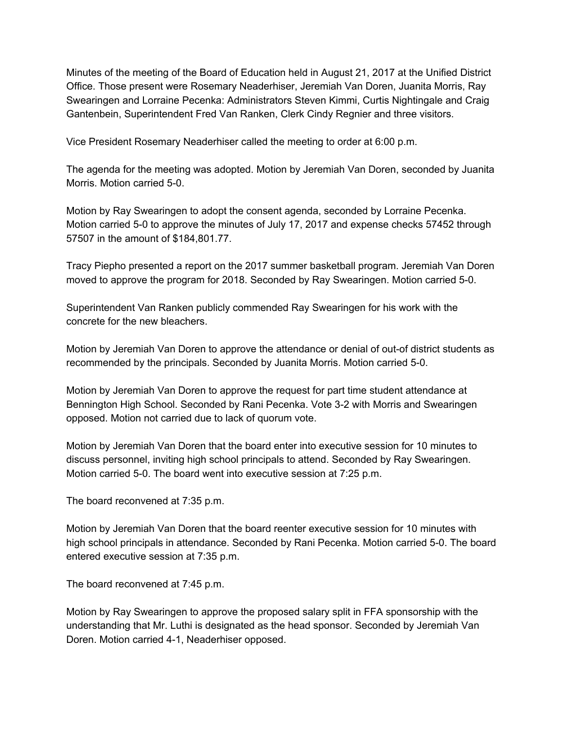Minutes of the meeting of the Board of Education held in August 21, 2017 at the Unified District Office. Those present were Rosemary Neaderhiser, Jeremiah Van Doren, Juanita Morris, Ray Swearingen and Lorraine Pecenka: Administrators Steven Kimmi, Curtis Nightingale and Craig Gantenbein, Superintendent Fred Van Ranken, Clerk Cindy Regnier and three visitors.

Vice President Rosemary Neaderhiser called the meeting to order at 6:00 p.m.

The agenda for the meeting was adopted. Motion by Jeremiah Van Doren, seconded by Juanita Morris. Motion carried 5-0.

Motion by Ray Swearingen to adopt the consent agenda, seconded by Lorraine Pecenka. Motion carried 5-0 to approve the minutes of July 17, 2017 and expense checks 57452 through 57507 in the amount of \$184,801.77.

Tracy Piepho presented a report on the 2017 summer basketball program. Jeremiah Van Doren moved to approve the program for 2018. Seconded by Ray Swearingen. Motion carried 5-0.

Superintendent Van Ranken publicly commended Ray Swearingen for his work with the concrete for the new bleachers.

Motion by Jeremiah Van Doren to approve the attendance or denial of out-of district students as recommended by the principals. Seconded by Juanita Morris. Motion carried 5-0.

Motion by Jeremiah Van Doren to approve the request for part time student attendance at Bennington High School. Seconded by Rani Pecenka. Vote 3-2 with Morris and Swearingen opposed. Motion not carried due to lack of quorum vote.

Motion by Jeremiah Van Doren that the board enter into executive session for 10 minutes to discuss personnel, inviting high school principals to attend. Seconded by Ray Swearingen. Motion carried 5-0. The board went into executive session at 7:25 p.m.

The board reconvened at 7:35 p.m.

Motion by Jeremiah Van Doren that the board reenter executive session for 10 minutes with high school principals in attendance. Seconded by Rani Pecenka. Motion carried 5-0. The board entered executive session at 7:35 p.m.

The board reconvened at 7:45 p.m.

Motion by Ray Swearingen to approve the proposed salary split in FFA sponsorship with the understanding that Mr. Luthi is designated as the head sponsor. Seconded by Jeremiah Van Doren. Motion carried 4-1, Neaderhiser opposed.